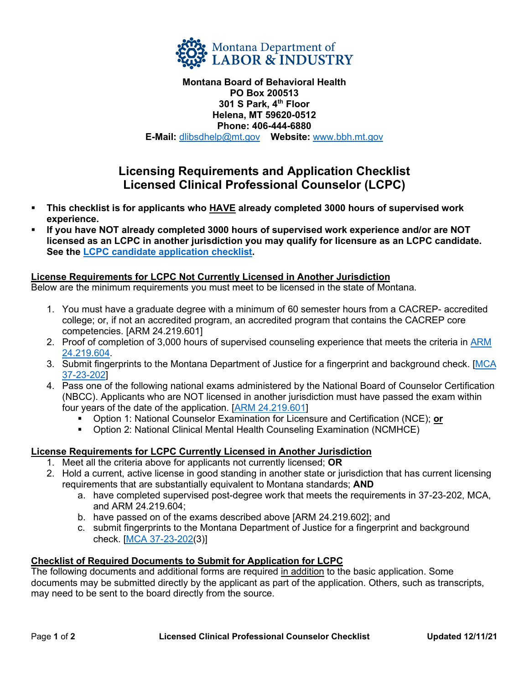

**Montana Board of Behavioral Health PO Box 200513 301 S Park, 4th Floor Helena, MT 59620-0512 Phone: 406-444-6880 E-Mail:** [dlibsdhelp@mt.gov](mailto:dlibsdhelp@mt.gov) **Website:** [www.bbh.mt.gov](http://www.bbh.mt.gov/)

# **Licensing Requirements and Application Checklist Licensed Clinical Professional Counselor (LCPC)**

- **This checklist is for applicants who HAVE already completed 3000 hours of supervised work experience.**
- **If you have NOT already completed 3000 hours of supervised work experience and/or are NOT licensed as an LCPC in another jurisdiction you may qualify for licensure as an LCPC candidate. See the [LCPC candidate application checklist.](https://boards.bsd.dli.mt.gov/_docs/bbh/pclc-app-checklist.pdf)**

## **License Requirements for LCPC Not Currently Licensed in Another Jurisdiction**

Below are the minimum requirements you must meet to be licensed in the state of Montana.

- 1. You must have a graduate degree with a minimum of 60 semester hours from a CACREP- accredited college; or, if not an accredited program, an accredited program that contains the CACREP core competencies. [ARM 24.219.601]
- 2. Proof of completion of 3,000 hours of supervised counseling experience that meets the criteria in ARM [24.219.604.](https://rules.mt.gov/gateway/RuleNo.asp?RN=24%2E219%2E604)
- 3. Submit fingerprints to the Montana Department of Justice for a fingerprint and background check. [\[MCA](https://leg.mt.gov/bills/mca/title_0370/chapter_0230/part_0020/section_0020/0370-0230-0020-0020.html)  [37-23-202\]](https://leg.mt.gov/bills/mca/title_0370/chapter_0230/part_0020/section_0020/0370-0230-0020-0020.html)
- 4. Pass one of the following national exams administered by the National Board of Counselor Certification (NBCC). Applicants who are NOT licensed in another jurisdiction must have passed the exam within four years of the date of the application. [\[ARM 24.219.601\]](http://mtrules.org/gateway/RuleNo.asp?RN=24%2E219%2E601)
	- Option 1: National Counselor Examination for Licensure and Certification (NCE); **or**
	- Option 2: National Clinical Mental Health Counseling Examination (NCMHCE)

# **License Requirements for LCPC Currently Licensed in Another Jurisdiction**

- 1. Meet all the criteria above for applicants not currently licensed; **OR**
- 2. Hold a current, active license in good standing in another state or jurisdiction that has current licensing requirements that are substantially equivalent to Montana standards; **AND**
	- a. have completed supervised post-degree work that meets the requirements in 37-23-202, MCA, and ARM 24.219.604;
	- b. have passed on of the exams described above [ARM 24.219.602]; and
	- c. submit fingerprints to the Montana Department of Justice for a fingerprint and background check. [\[MCA 37-23-202\(](https://leg.mt.gov/bills/mca/title_0370/chapter_0230/part_0020/section_0020/0370-0230-0020-0020.html)3)]

## **Checklist of Required Documents to Submit for Application for LCPC**

The following documents and additional forms are required in addition to the basic application. Some documents may be submitted directly by the applicant as part of the application. Others, such as transcripts, may need to be sent to the board directly from the source.